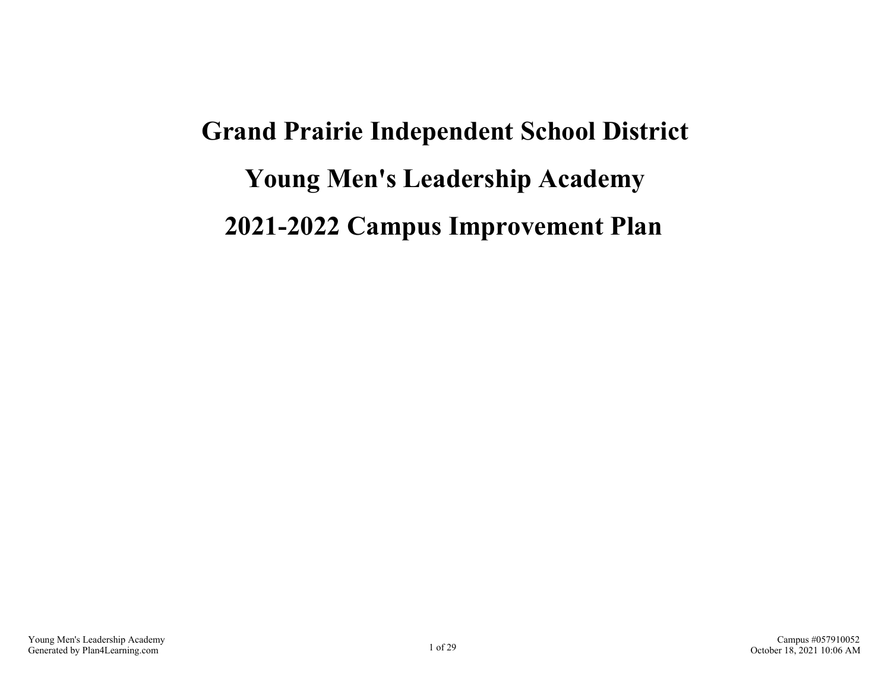# **Grand Prairie Independent School District Young Men's Leadership Academy 2021-2022 Campus Improvement Plan**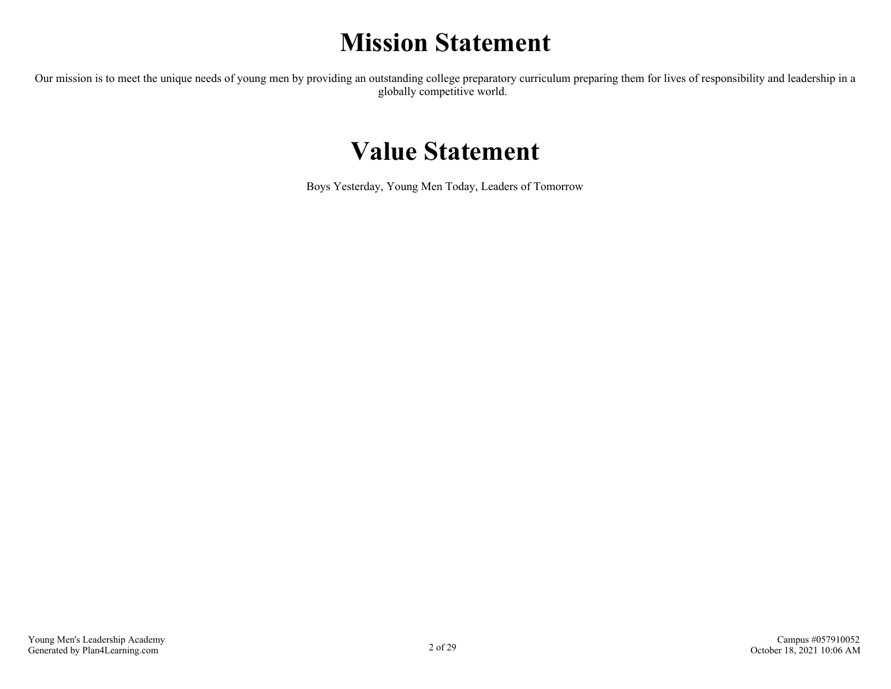# **Mission Statement**

Our mission is to meet the unique needs of young men by providing an outstanding college preparatory curriculum preparing them for lives of responsibility and leadership in a globally competitive world.

### **Value Statement**

Boys Yesterday, Young Men Today, Leaders of Tomorrow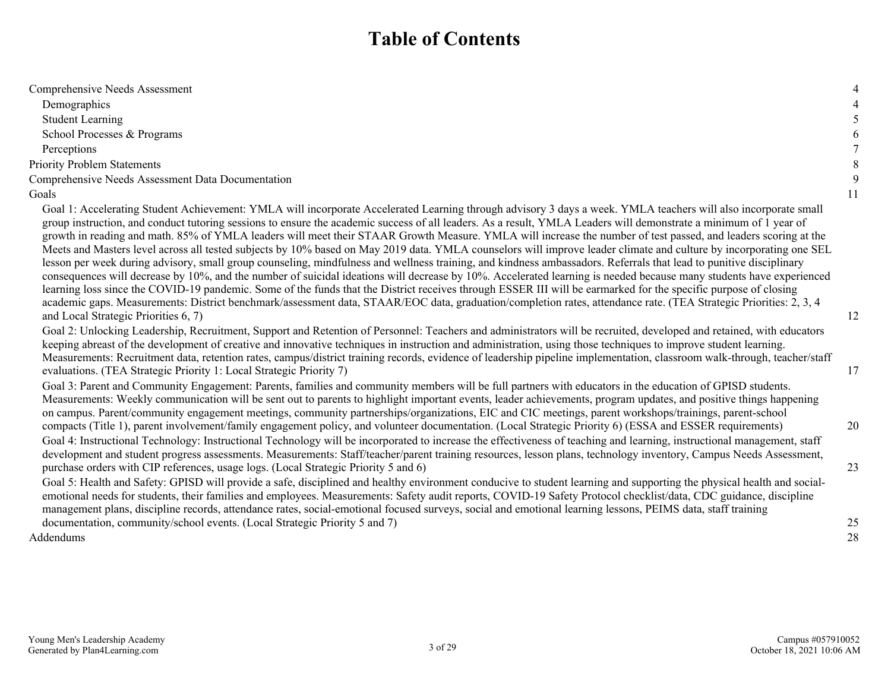### **Table of Contents**

| Comprehensive Needs Assessment                                                                                                                                                                                                                                                                                                                                                                                                                                                                                                                                                                                                                                                                                                                                                                                                                                                                                                                                                                                                                                                                                                                                                                                                                                                                                                                                                                           | $\overline{4}$ |
|----------------------------------------------------------------------------------------------------------------------------------------------------------------------------------------------------------------------------------------------------------------------------------------------------------------------------------------------------------------------------------------------------------------------------------------------------------------------------------------------------------------------------------------------------------------------------------------------------------------------------------------------------------------------------------------------------------------------------------------------------------------------------------------------------------------------------------------------------------------------------------------------------------------------------------------------------------------------------------------------------------------------------------------------------------------------------------------------------------------------------------------------------------------------------------------------------------------------------------------------------------------------------------------------------------------------------------------------------------------------------------------------------------|----------------|
| Demographics                                                                                                                                                                                                                                                                                                                                                                                                                                                                                                                                                                                                                                                                                                                                                                                                                                                                                                                                                                                                                                                                                                                                                                                                                                                                                                                                                                                             | $\overline{4}$ |
| <b>Student Learning</b>                                                                                                                                                                                                                                                                                                                                                                                                                                                                                                                                                                                                                                                                                                                                                                                                                                                                                                                                                                                                                                                                                                                                                                                                                                                                                                                                                                                  | 5              |
| School Processes & Programs                                                                                                                                                                                                                                                                                                                                                                                                                                                                                                                                                                                                                                                                                                                                                                                                                                                                                                                                                                                                                                                                                                                                                                                                                                                                                                                                                                              | $\sqrt{6}$     |
| Perceptions                                                                                                                                                                                                                                                                                                                                                                                                                                                                                                                                                                                                                                                                                                                                                                                                                                                                                                                                                                                                                                                                                                                                                                                                                                                                                                                                                                                              | $\tau$         |
| <b>Priority Problem Statements</b>                                                                                                                                                                                                                                                                                                                                                                                                                                                                                                                                                                                                                                                                                                                                                                                                                                                                                                                                                                                                                                                                                                                                                                                                                                                                                                                                                                       | $\,8\,$        |
| Comprehensive Needs Assessment Data Documentation                                                                                                                                                                                                                                                                                                                                                                                                                                                                                                                                                                                                                                                                                                                                                                                                                                                                                                                                                                                                                                                                                                                                                                                                                                                                                                                                                        | 9              |
| Goals                                                                                                                                                                                                                                                                                                                                                                                                                                                                                                                                                                                                                                                                                                                                                                                                                                                                                                                                                                                                                                                                                                                                                                                                                                                                                                                                                                                                    | 11             |
| Goal 1: Accelerating Student Achievement: YMLA will incorporate Accelerated Learning through advisory 3 days a week. YMLA teachers will also incorporate small<br>group instruction, and conduct tutoring sessions to ensure the academic success of all leaders. As a result, YMLA Leaders will demonstrate a minimum of 1 year of<br>growth in reading and math. 85% of YMLA leaders will meet their STAAR Growth Measure. YMLA will increase the number of test passed, and leaders scoring at the<br>Meets and Masters level across all tested subjects by 10% based on May 2019 data. YMLA counselors will improve leader climate and culture by incorporating one SEL<br>lesson per week during advisory, small group counseling, mindfulness and wellness training, and kindness ambassadors. Referrals that lead to punitive disciplinary<br>consequences will decrease by 10%, and the number of suicidal ideations will decrease by 10%. Accelerated learning is needed because many students have experienced<br>learning loss since the COVID-19 pandemic. Some of the funds that the District receives through ESSER III will be earmarked for the specific purpose of closing<br>academic gaps. Measurements: District benchmark/assessment data, STAAR/EOC data, graduation/completion rates, attendance rate. (TEA Strategic Priorities: 2, 3, 4<br>and Local Strategic Priorities 6, 7) | 12             |
| Goal 2: Unlocking Leadership, Recruitment, Support and Retention of Personnel: Teachers and administrators will be recruited, developed and retained, with educators<br>keeping abreast of the development of creative and innovative techniques in instruction and administration, using those techniques to improve student learning.<br>Measurements: Recruitment data, retention rates, campus/district training records, evidence of leadership pipeline implementation, classroom walk-through, teacher/staff<br>evaluations. (TEA Strategic Priority 1: Local Strategic Priority 7)                                                                                                                                                                                                                                                                                                                                                                                                                                                                                                                                                                                                                                                                                                                                                                                                               | 17             |
| Goal 3: Parent and Community Engagement: Parents, families and community members will be full partners with educators in the education of GPISD students.<br>Measurements: Weekly communication will be sent out to parents to highlight important events, leader achievements, program updates, and positive things happening<br>on campus. Parent/community engagement meetings, community partnerships/organizations, EIC and CIC meetings, parent workshops/trainings, parent-school                                                                                                                                                                                                                                                                                                                                                                                                                                                                                                                                                                                                                                                                                                                                                                                                                                                                                                                 |                |
| compacts (Title 1), parent involvement/family engagement policy, and volunteer documentation. (Local Strategic Priority 6) (ESSA and ESSER requirements)<br>Goal 4: Instructional Technology: Instructional Technology will be incorporated to increase the effectiveness of teaching and learning, instructional management, staff<br>development and student progress assessments. Measurements: Staff/teacher/parent training resources, lesson plans, technology inventory, Campus Needs Assessment,                                                                                                                                                                                                                                                                                                                                                                                                                                                                                                                                                                                                                                                                                                                                                                                                                                                                                                 | 20             |
| purchase orders with CIP references, usage logs. (Local Strategic Priority 5 and 6)<br>Goal 5: Health and Safety: GPISD will provide a safe, disciplined and healthy environment conducive to student learning and supporting the physical health and social-<br>emotional needs for students, their families and employees. Measurements: Safety audit reports, COVID-19 Safety Protocol checklist/data, CDC guidance, discipline<br>management plans, discipline records, attendance rates, social-emotional focused surveys, social and emotional learning lessons, PEIMS data, staff training                                                                                                                                                                                                                                                                                                                                                                                                                                                                                                                                                                                                                                                                                                                                                                                                        | 23             |
| documentation, community/school events. (Local Strategic Priority 5 and 7)                                                                                                                                                                                                                                                                                                                                                                                                                                                                                                                                                                                                                                                                                                                                                                                                                                                                                                                                                                                                                                                                                                                                                                                                                                                                                                                               | 25             |
| Addendums                                                                                                                                                                                                                                                                                                                                                                                                                                                                                                                                                                                                                                                                                                                                                                                                                                                                                                                                                                                                                                                                                                                                                                                                                                                                                                                                                                                                | 28             |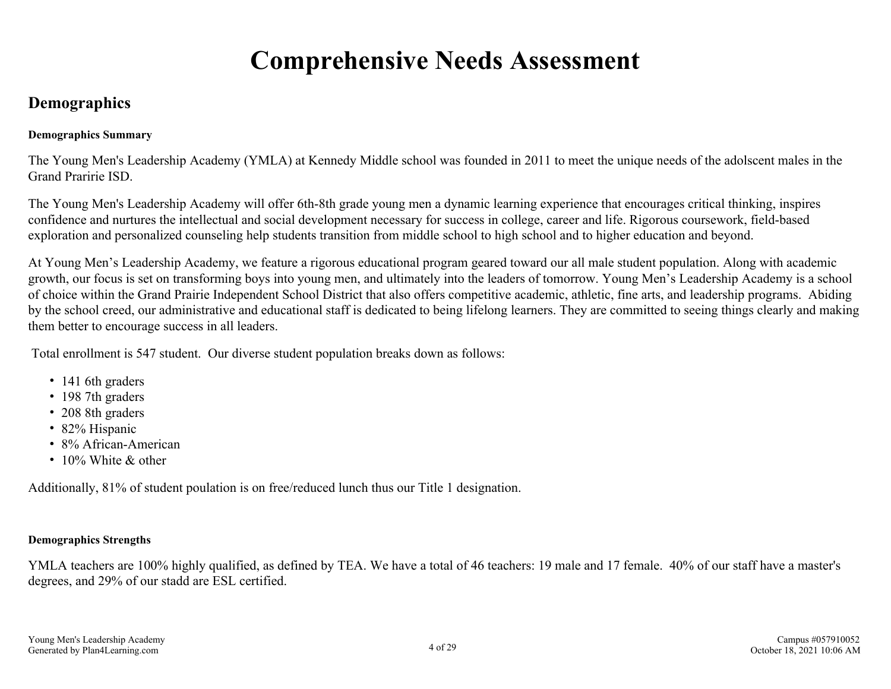# **Comprehensive Needs Assessment**

### <span id="page-3-0"></span>**Demographics**

#### **Demographics Summary**

The Young Men's Leadership Academy (YMLA) at Kennedy Middle school was founded in 2011 to meet the unique needs of the adolscent males in the Grand Praririe ISD.

The Young Men's Leadership Academy will offer 6th-8th grade young men a dynamic learning experience that encourages critical thinking, inspires confidence and nurtures the intellectual and social development necessary for success in college, career and life. Rigorous coursework, field-based exploration and personalized counseling help students transition from middle school to high school and to higher education and beyond.

At Young Men's Leadership Academy, we feature a rigorous educational program geared toward our all male student population. Along with academic growth, our focus is set on transforming boys into young men, and ultimately into the leaders of tomorrow. Young Men's Leadership Academy is a school of choice within the Grand Prairie Independent School District that also offers competitive academic, athletic, fine arts, and leadership programs. Abiding by the school creed, our administrative and educational staff is dedicated to being lifelong learners. They are committed to seeing things clearly and making them better to encourage success in all leaders.

Total enrollment is 547 student. Our diverse student population breaks down as follows:

- 141 6th graders
- 198 7th graders
- 208 8th graders
- 82% Hispanic
- 8% African-American
- $\cdot$  10% White & other

Additionally, 81% of student poulation is on free/reduced lunch thus our Title 1 designation.

#### **Demographics Strengths**

YMLA teachers are 100% highly qualified, as defined by TEA. We have a total of 46 teachers: 19 male and 17 female. 40% of our staff have a master's degrees, and 29% of our stadd are ESL certified.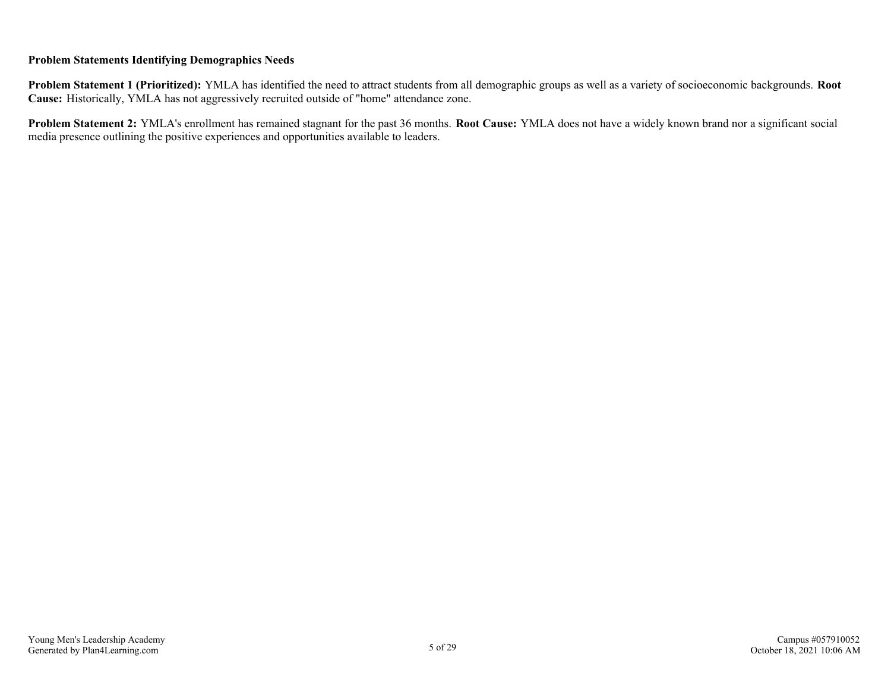#### **Problem Statements Identifying Demographics Needs**

**Problem Statement 1 (Prioritized):** YMLA has identified the need to attract students from all demographic groups as well as a variety of socioeconomic backgrounds. **Root Cause:** Historically, YMLA has not aggressively recruited outside of "home" attendance zone.

**Problem Statement 2:** YMLA's enrollment has remained stagnant for the past 36 months. **Root Cause:** YMLA does not have a widely known brand nor a significant social media presence outlining the positive experiences and opportunities available to leaders.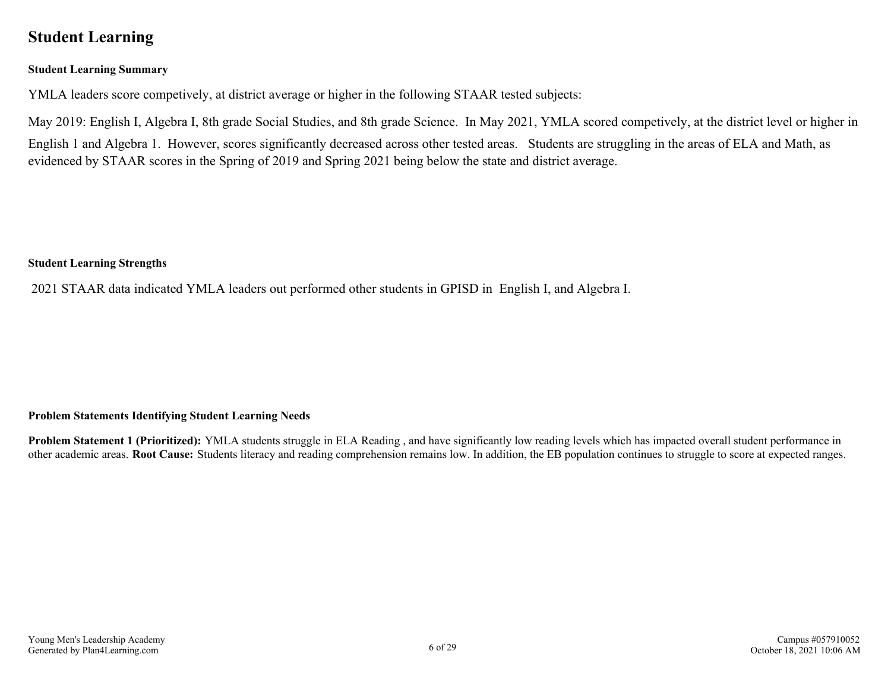### <span id="page-5-0"></span>**Student Learning**

#### **Student Learning Summary**

YMLA leaders score competively, at district average or higher in the following STAAR tested subjects:

May 2019: English I, Algebra I, 8th grade Social Studies, and 8th grade Science. In May 2021, YMLA scored competively, at the district level or higher in English 1 and Algebra 1. However, scores significantly decreased across other tested areas. Students are struggling in the areas of ELA and Math, as evidenced by STAAR scores in the Spring of 2019 and Spring 2021 being below the state and district average.

#### **Student Learning Strengths**

2021 STAAR data indicated YMLA leaders out performed other students in GPISD in English I, and Algebra I.

#### **Problem Statements Identifying Student Learning Needs**

**Problem Statement 1 (Prioritized):** YMLA students struggle in ELA Reading , and have significantly low reading levels which has impacted overall student performance in other academic areas. **Root Cause:** Students literacy and reading comprehension remains low. In addition, the EB population continues to struggle to score at expected ranges.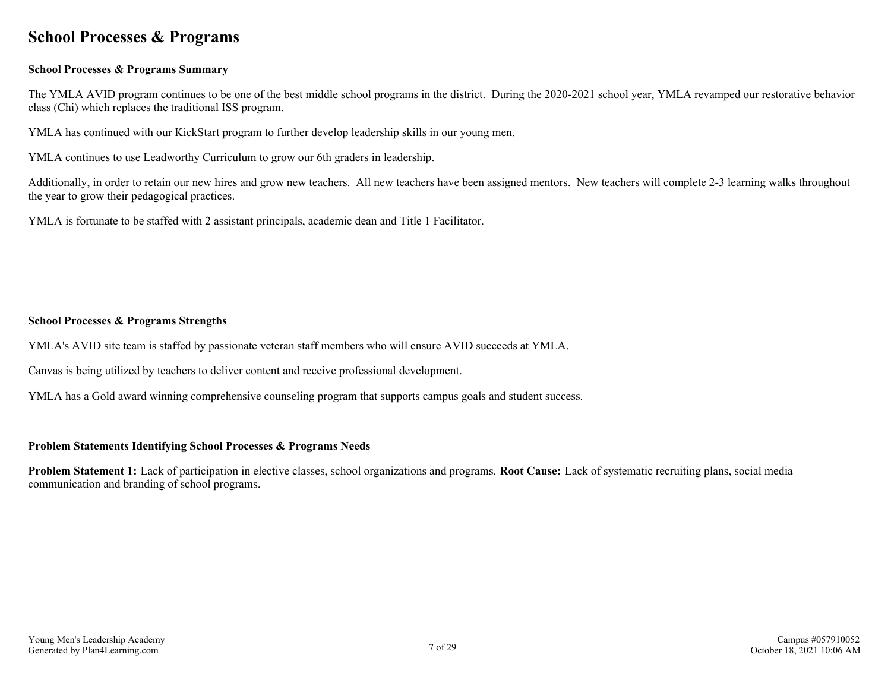### <span id="page-6-0"></span>**School Processes & Programs**

#### **School Processes & Programs Summary**

The YMLA AVID program continues to be one of the best middle school programs in the district. During the 2020-2021 school year, YMLA revamped our restorative behavior class (Chi) which replaces the traditional ISS program.

YMLA has continued with our KickStart program to further develop leadership skills in our young men.

YMLA continues to use Leadworthy Curriculum to grow our 6th graders in leadership.

Additionally, in order to retain our new hires and grow new teachers. All new teachers have been assigned mentors. New teachers will complete 2-3 learning walks throughout the year to grow their pedagogical practices.

YMLA is fortunate to be staffed with 2 assistant principals, academic dean and Title 1 Facilitator.

#### **School Processes & Programs Strengths**

YMLA's AVID site team is staffed by passionate veteran staff members who will ensure AVID succeeds at YMLA.

Canvas is being utilized by teachers to deliver content and receive professional development.

YMLA has a Gold award winning comprehensive counseling program that supports campus goals and student success.

#### **Problem Statements Identifying School Processes & Programs Needs**

**Problem Statement 1:** Lack of participation in elective classes, school organizations and programs. **Root Cause:** Lack of systematic recruiting plans, social media communication and branding of school programs.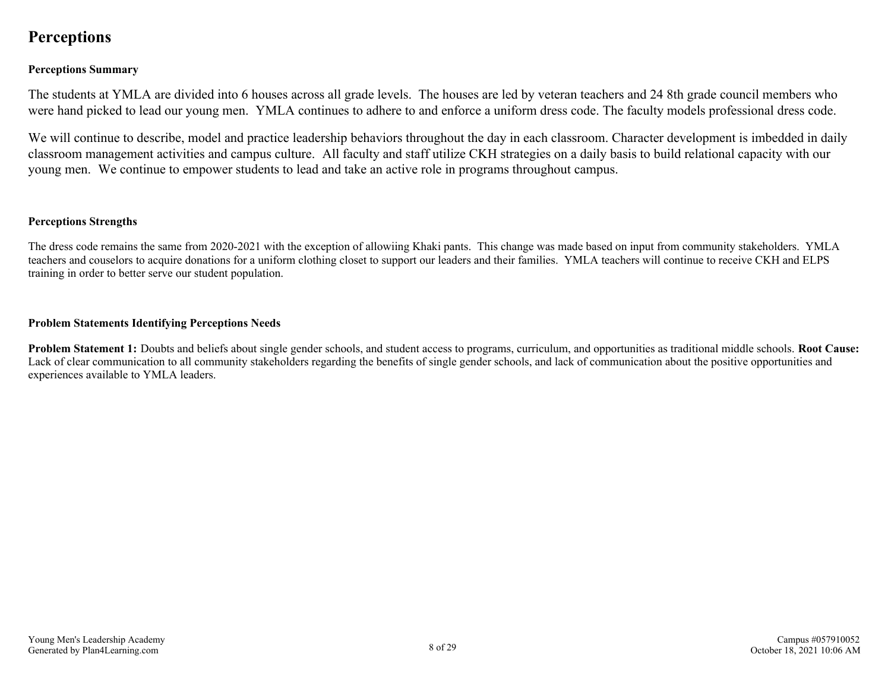### <span id="page-7-0"></span>**Perceptions**

#### **Perceptions Summary**

The students at YMLA are divided into 6 houses across all grade levels. The houses are led by veteran teachers and 24 8th grade council members who were hand picked to lead our young men. YMLA continues to adhere to and enforce a uniform dress code. The faculty models professional dress code.

We will continue to describe, model and practice leadership behaviors throughout the day in each classroom. Character development is imbedded in daily classroom management activities and campus culture. All faculty and staff utilize CKH strategies on a daily basis to build relational capacity with our young men. We continue to empower students to lead and take an active role in programs throughout campus.

#### **Perceptions Strengths**

The dress code remains the same from 2020-2021 with the exception of allowiing Khaki pants. This change was made based on input from community stakeholders. YMLA teachers and couselors to acquire donations for a uniform clothing closet to support our leaders and their families. YMLA teachers will continue to receive CKH and ELPS training in order to better serve our student population.

#### **Problem Statements Identifying Perceptions Needs**

**Problem Statement 1:** Doubts and beliefs about single gender schools, and student access to programs, curriculum, and opportunities as traditional middle schools. **Root Cause:** Lack of clear communication to all community stakeholders regarding the benefits of single gender schools, and lack of communication about the positive opportunities and experiences available to YMLA leaders.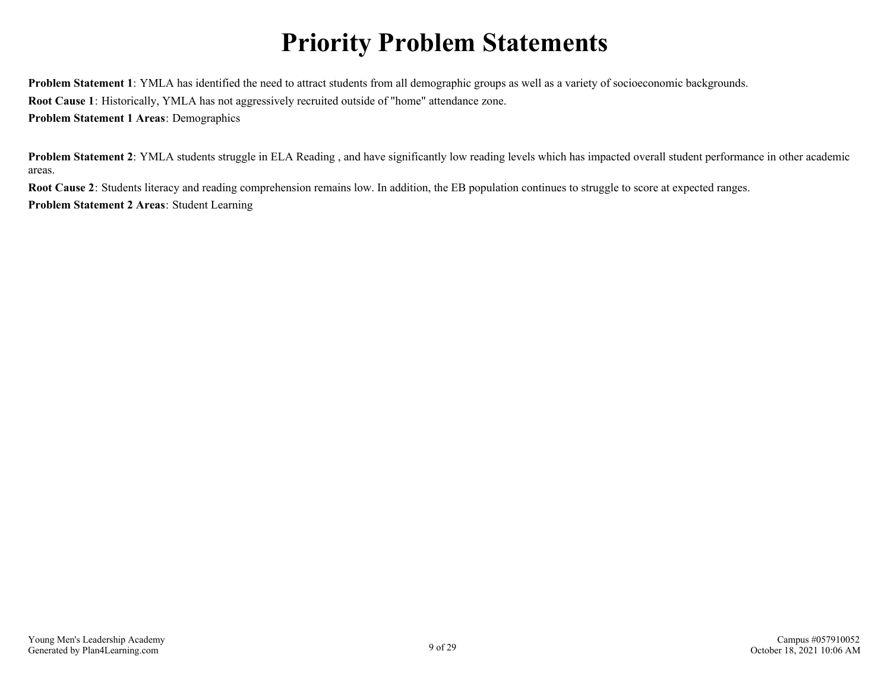# **Priority Problem Statements**

<span id="page-8-0"></span>**Problem Statement 1**: YMLA has identified the need to attract students from all demographic groups as well as a variety of socioeconomic backgrounds. **Root Cause 1**: Historically, YMLA has not aggressively recruited outside of "home" attendance zone. **Problem Statement 1 Areas**: Demographics

**Problem Statement 2**: YMLA students struggle in ELA Reading, and have significantly low reading levels which has impacted overall student performance in other academic areas.

**Root Cause 2**: Students literacy and reading comprehension remains low. In addition, the EB population continues to struggle to score at expected ranges. **Problem Statement 2 Areas**: Student Learning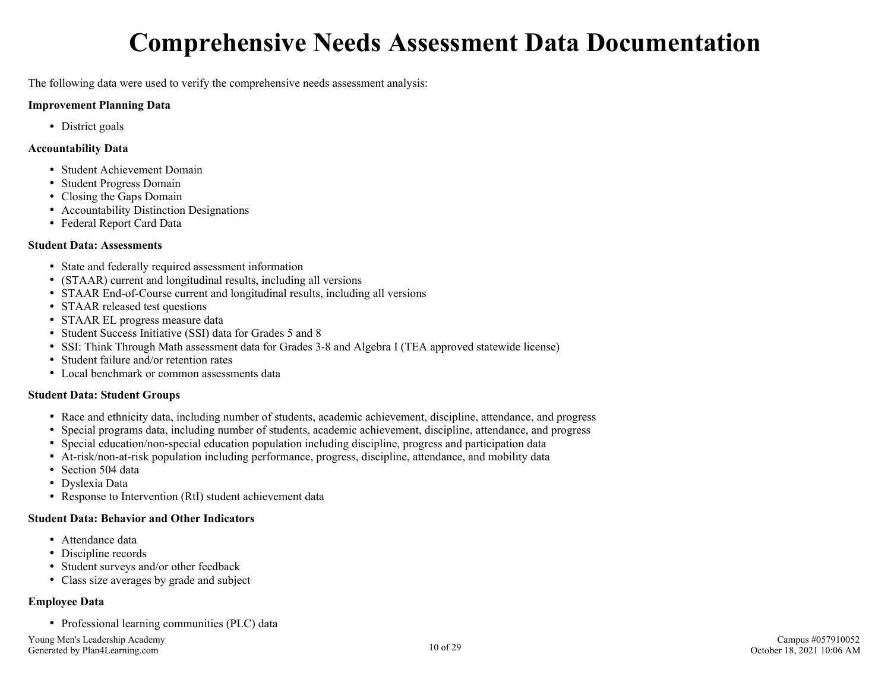# **Comprehensive Needs Assessment Data Documentation**

<span id="page-9-0"></span>The following data were used to verify the comprehensive needs assessment analysis:

#### **Improvement Planning Data**

• District goals

#### **Accountability Data**

- Student Achievement Domain
- Student Progress Domain
- Closing the Gaps Domain
- Accountability Distinction Designations
- Federal Report Card Data

#### **Student Data: Assessments**

- State and federally required assessment information
- (STAAR) current and longitudinal results, including all versions
- STAAR End-of-Course current and longitudinal results, including all versions
- STAAR released test questions
- STAAR EL progress measure data
- Student Success Initiative (SSI) data for Grades 5 and 8
- SSI: Think Through Math assessment data for Grades 3-8 and Algebra I (TEA approved statewide license)
- Student failure and/or retention rates
- Local benchmark or common assessments data

#### **Student Data: Student Groups**

- Race and ethnicity data, including number of students, academic achievement, discipline, attendance, and progress
- Special programs data, including number of students, academic achievement, discipline, attendance, and progress
- Special education/non-special education population including discipline, progress and participation data
- At-risk/non-at-risk population including performance, progress, discipline, attendance, and mobility data
- Section 504 data
- Dyslexia Data
- Response to Intervention (RtI) student achievement data

#### **Student Data: Behavior and Other Indicators**

- Attendance data
- Discipline records
- Student surveys and/or other feedback
- Class size averages by grade and subject

#### **Employee Data**

• Professional learning communities (PLC) data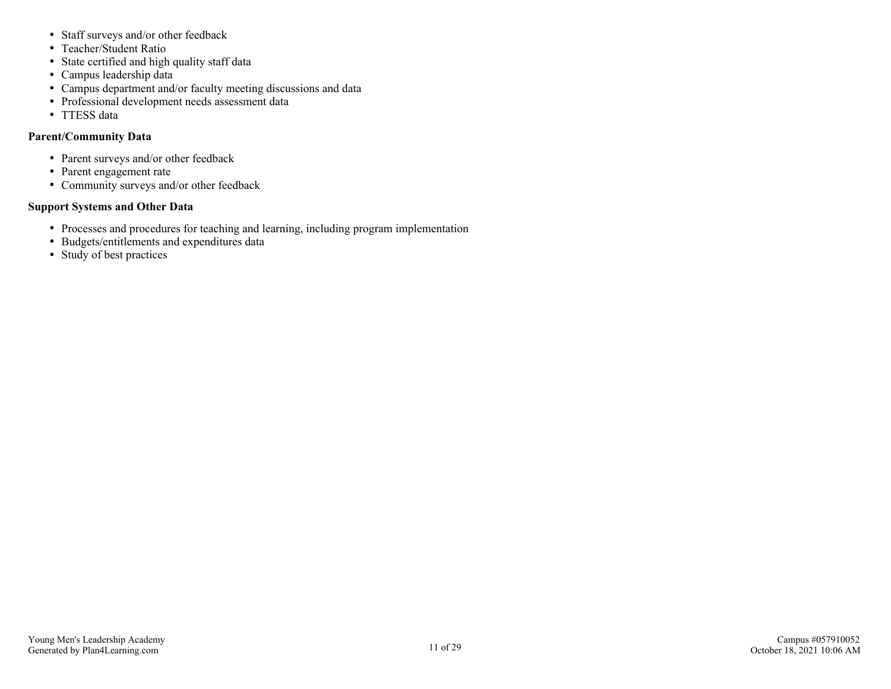- Staff surveys and/or other feedback
- Teacher/Student Ratio
- State certified and high quality staff data
- Campus leadership data
- Campus department and/or faculty meeting discussions and data
- Professional development needs assessment data
- TTESS data

#### **Parent/Community Data**

- Parent surveys and/or other feedback
- Parent engagement rate
- Community surveys and/or other feedback

#### **Support Systems and Other Data**

- Processes and procedures for teaching and learning, including program implementation
- Budgets/entitlements and expenditures data
- Study of best practices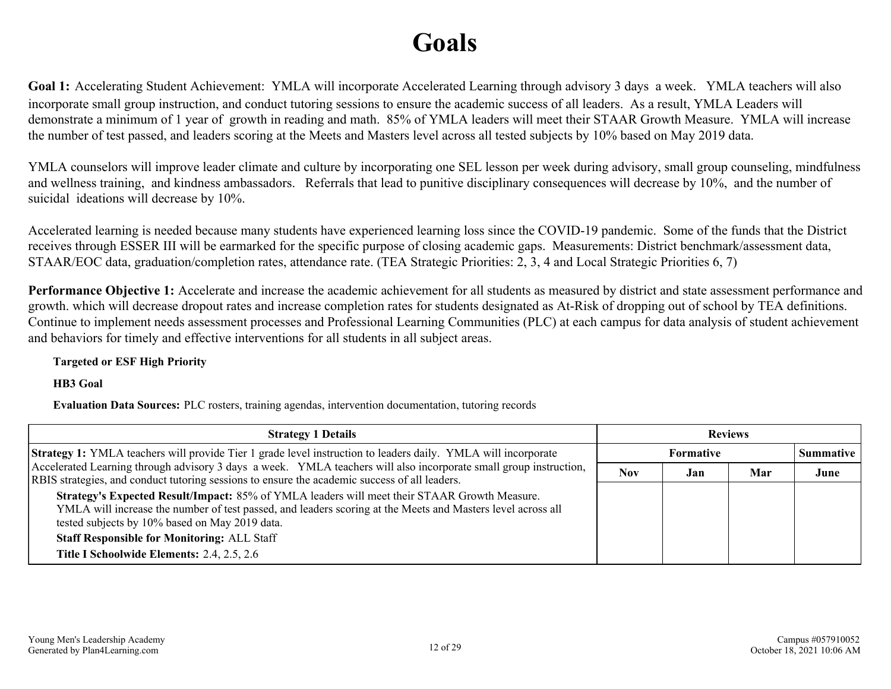# **Goals**

<span id="page-11-0"></span>**Goal 1:** Accelerating Student Achievement: YMLA will incorporate Accelerated Learning through advisory 3 days a week. YMLA teachers will also incorporate small group instruction, and conduct tutoring sessions to ensure the academic success of all leaders. As a result, YMLA Leaders will demonstrate a minimum of 1 year of growth in reading and math. 85% of YMLA leaders will meet their STAAR Growth Measure. YMLA will increase the number of test passed, and leaders scoring at the Meets and Masters level across all tested subjects by 10% based on May 2019 data.

YMLA counselors will improve leader climate and culture by incorporating one SEL lesson per week during advisory, small group counseling, mindfulness and wellness training, and kindness ambassadors. Referrals that lead to punitive disciplinary consequences will decrease by 10%, and the number of suicidal ideations will decrease by 10%.

Accelerated learning is needed because many students have experienced learning loss since the COVID-19 pandemic. Some of the funds that the District receives through ESSER III will be earmarked for the specific purpose of closing academic gaps. Measurements: District benchmark/assessment data, STAAR/EOC data, graduation/completion rates, attendance rate. (TEA Strategic Priorities: 2, 3, 4 and Local Strategic Priorities 6, 7)

**Performance Objective 1:** Accelerate and increase the academic achievement for all students as measured by district and state assessment performance and growth. which will decrease dropout rates and increase completion rates for students designated as At-Risk of dropping out of school by TEA definitions. Continue to implement needs assessment processes and Professional Learning Communities (PLC) at each campus for data analysis of student achievement and behaviors for timely and effective interventions for all students in all subject areas.

**Targeted or ESF High Priority**

**HB3 Goal**

**Evaluation Data Sources:** PLC rosters, training agendas, intervention documentation, tutoring records

| <b>Strategy 1 Details</b>                                                                                                                                                                                                                                     | <b>Reviews</b> |           |     |                  |
|---------------------------------------------------------------------------------------------------------------------------------------------------------------------------------------------------------------------------------------------------------------|----------------|-----------|-----|------------------|
| Strategy 1: YMLA teachers will provide Tier 1 grade level instruction to leaders daily. YMLA will incorporate                                                                                                                                                 |                | Formative |     | <b>Summative</b> |
| Accelerated Learning through advisory 3 days a week. YMLA teachers will also incorporate small group instruction,<br>RBIS strategies, and conduct tutoring sessions to ensure the academic success of all leaders.                                            | <b>Nov</b>     | Jan       | Mar | June             |
| Strategy's Expected Result/Impact: 85% of YMLA leaders will meet their STAAR Growth Measure.<br>YMLA will increase the number of test passed, and leaders scoring at the Meets and Masters level across all<br>tested subjects by 10% based on May 2019 data. |                |           |     |                  |
| <b>Staff Responsible for Monitoring: ALL Staff</b>                                                                                                                                                                                                            |                |           |     |                  |
| Title I Schoolwide Elements: 2.4, 2.5, 2.6                                                                                                                                                                                                                    |                |           |     |                  |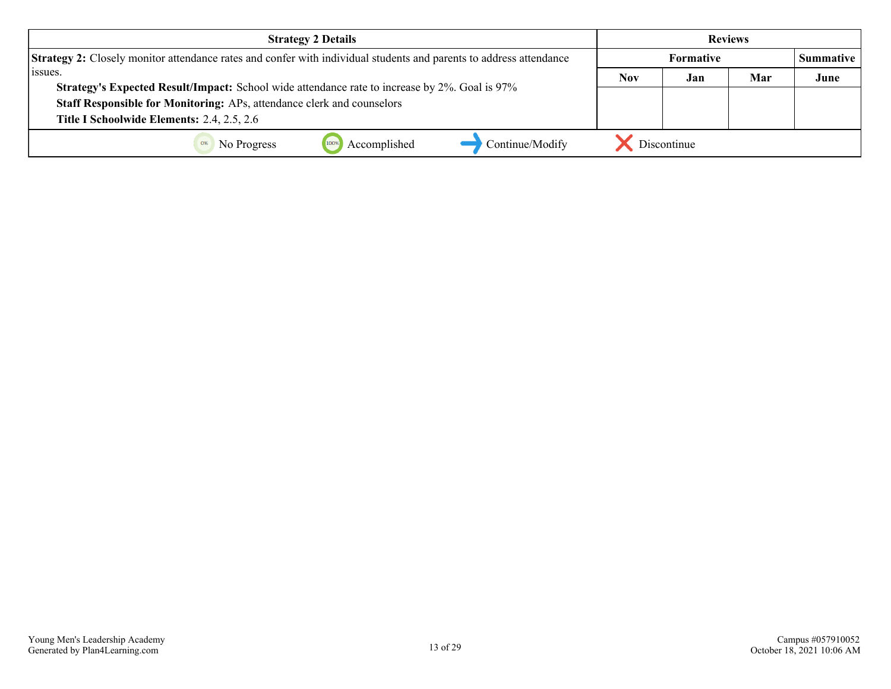| <b>Strategy 2 Details</b>                                                                                                                                               | <b>Reviews</b>   |             |     |                  |
|-------------------------------------------------------------------------------------------------------------------------------------------------------------------------|------------------|-------------|-----|------------------|
| <b>Strategy 2:</b> Closely monitor attendance rates and confer with individual students and parents to address attendance                                               | <b>Formative</b> |             |     | <b>Summative</b> |
| l issues.                                                                                                                                                               | <b>Nov</b>       | Jan         | Mar | June             |
| Strategy's Expected Result/Impact: School wide attendance rate to increase by 2%. Goal is 97%<br>Staff Responsible for Monitoring: APs, attendance clerk and counselors |                  |             |     |                  |
| Title I Schoolwide Elements: 2.4, 2.5, 2.6                                                                                                                              |                  |             |     |                  |
| Accomplished<br>Continue/Modify<br>No Progress                                                                                                                          |                  | Discontinue |     |                  |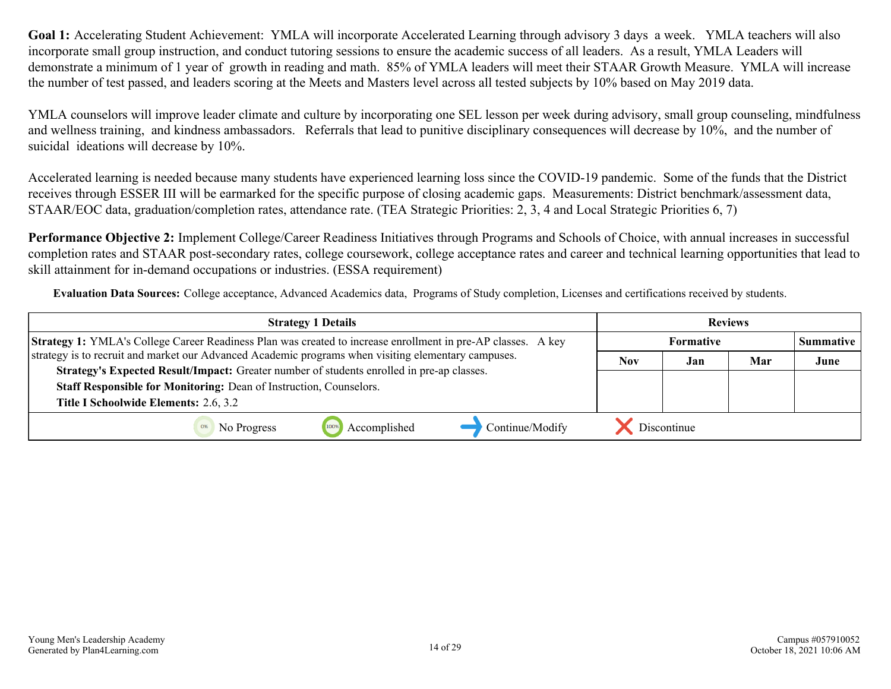YMLA counselors will improve leader climate and culture by incorporating one SEL lesson per week during advisory, small group counseling, mindfulness and wellness training, and kindness ambassadors. Referrals that lead to punitive disciplinary consequences will decrease by 10%, and the number of suicidal ideations will decrease by 10%.

Accelerated learning is needed because many students have experienced learning loss since the COVID-19 pandemic. Some of the funds that the District receives through ESSER III will be earmarked for the specific purpose of closing academic gaps. Measurements: District benchmark/assessment data, STAAR/EOC data, graduation/completion rates, attendance rate. (TEA Strategic Priorities: 2, 3, 4 and Local Strategic Priorities 6, 7)

**Performance Objective 2:** Implement College/Career Readiness Initiatives through Programs and Schools of Choice, with annual increases in successful completion rates and STAAR post-secondary rates, college coursework, college acceptance rates and career and technical learning opportunities that lead to skill attainment for in-demand occupations or industries. (ESSA requirement)

**Evaluation Data Sources:** College acceptance, Advanced Academics data, Programs of Study completion, Licenses and certifications received by students.

| <b>Strategy 1 Details</b>                                                                                                                                                                        | <b>Reviews</b> |                  |     |                  |
|--------------------------------------------------------------------------------------------------------------------------------------------------------------------------------------------------|----------------|------------------|-----|------------------|
| <b>Strategy 1:</b> YMLA's College Career Readiness Plan was created to increase enrollment in pre-AP classes. A key                                                                              |                | <b>Formative</b> |     | <b>Summative</b> |
| strategy is to recruit and market our Advanced Academic programs when visiting elementary campuses.<br>Strategy's Expected Result/Impact: Greater number of students enrolled in pre-ap classes. | <b>Nov</b>     | Jan              | Mar | June             |
| Staff Responsible for Monitoring: Dean of Instruction, Counselors.                                                                                                                               |                |                  |     |                  |
| Title I Schoolwide Elements: 2.6, 3.2                                                                                                                                                            |                |                  |     |                  |
| Continue/Modify<br>Accomplished<br>No Progress                                                                                                                                                   |                | . Discontinue    |     |                  |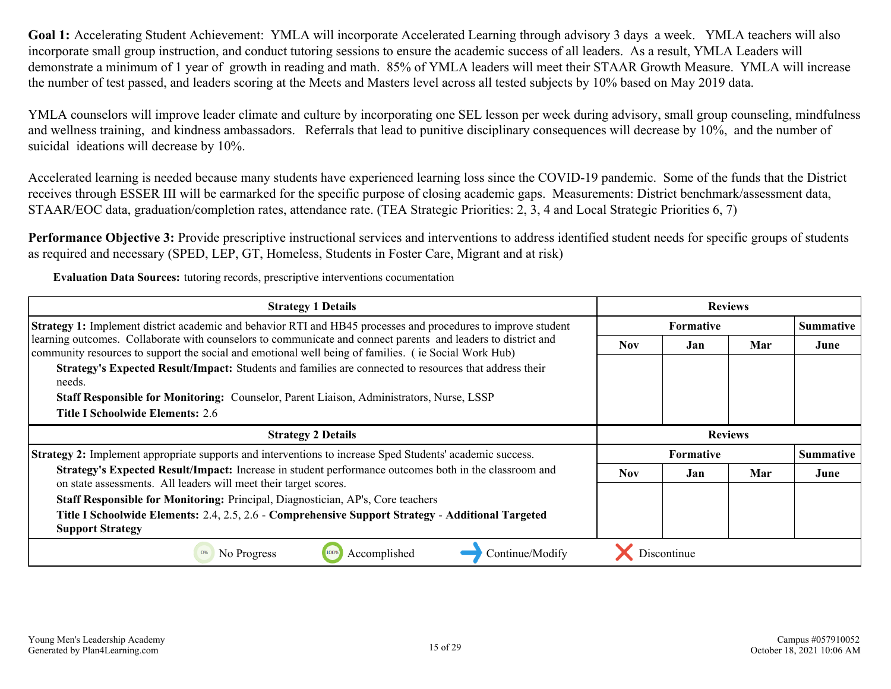YMLA counselors will improve leader climate and culture by incorporating one SEL lesson per week during advisory, small group counseling, mindfulness and wellness training, and kindness ambassadors. Referrals that lead to punitive disciplinary consequences will decrease by 10%, and the number of suicidal ideations will decrease by 10%.

Accelerated learning is needed because many students have experienced learning loss since the COVID-19 pandemic. Some of the funds that the District receives through ESSER III will be earmarked for the specific purpose of closing academic gaps. Measurements: District benchmark/assessment data, STAAR/EOC data, graduation/completion rates, attendance rate. (TEA Strategic Priorities: 2, 3, 4 and Local Strategic Priorities 6, 7)

Performance Objective 3: Provide prescriptive instructional services and interventions to address identified student needs for specific groups of students as required and necessary (SPED, LEP, GT, Homeless, Students in Foster Care, Migrant and at risk)

**Evaluation Data Sources:** tutoring records, prescriptive interventions cocumentation

| <b>Strategy 1 Details</b>                                                                                                                                                                                             | <b>Reviews</b>   |                  |                |                  |
|-----------------------------------------------------------------------------------------------------------------------------------------------------------------------------------------------------------------------|------------------|------------------|----------------|------------------|
| Strategy 1: Implement district academic and behavior RTI and HB45 processes and procedures to improve student                                                                                                         | <b>Formative</b> |                  |                | <b>Summative</b> |
| learning outcomes. Collaborate with counselors to communicate and connect parents and leaders to district and<br>community resources to support the social and emotional well being of families. (ie Social Work Hub) | <b>Nov</b>       | Jan              | Mar            | June             |
| Strategy's Expected Result/Impact: Students and families are connected to resources that address their<br>needs.                                                                                                      |                  |                  |                |                  |
| Staff Responsible for Monitoring: Counselor, Parent Liaison, Administrators, Nurse, LSSP                                                                                                                              |                  |                  |                |                  |
| <b>Title I Schoolwide Elements: 2.6</b>                                                                                                                                                                               |                  |                  |                |                  |
| <b>Strategy 2 Details</b>                                                                                                                                                                                             |                  |                  | <b>Reviews</b> |                  |
| Strategy 2: Implement appropriate supports and interventions to increase Sped Students' academic success.                                                                                                             |                  | <b>Formative</b> |                | <b>Summative</b> |
| Strategy's Expected Result/Impact: Increase in student performance outcomes both in the classroom and<br>on state assessments. All leaders will meet their target scores.                                             | <b>Nov</b>       | Jan              | Mar            | June             |
| Staff Responsible for Monitoring: Principal, Diagnostician, AP's, Core teachers                                                                                                                                       |                  |                  |                |                  |
| Title I Schoolwide Elements: 2.4, 2.5, 2.6 - Comprehensive Support Strategy - Additional Targeted<br><b>Support Strategy</b>                                                                                          |                  |                  |                |                  |
| Accomplished<br>Continue/Modify<br>No Progress                                                                                                                                                                        |                  | Discontinue      |                |                  |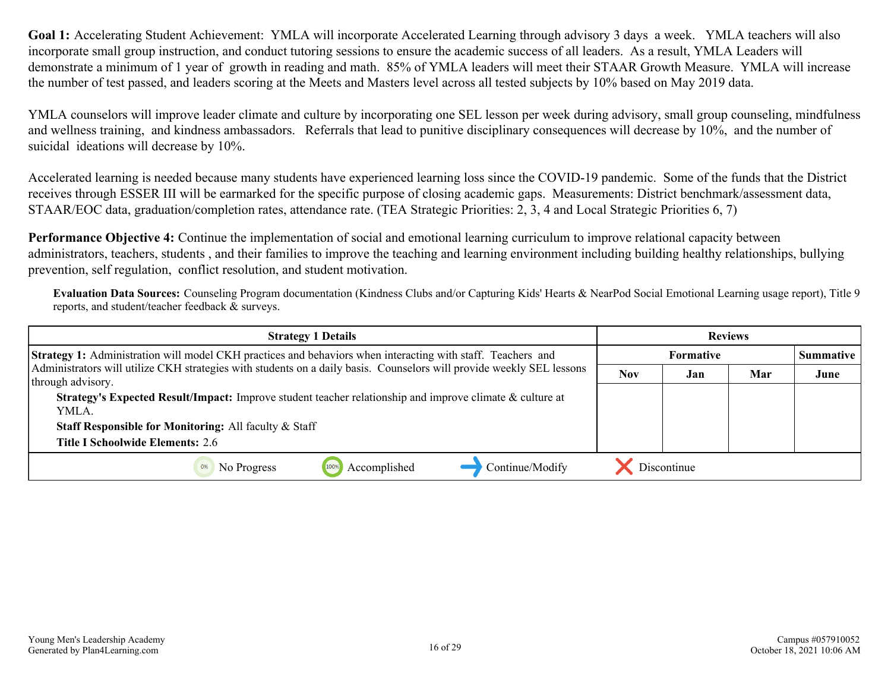YMLA counselors will improve leader climate and culture by incorporating one SEL lesson per week during advisory, small group counseling, mindfulness and wellness training, and kindness ambassadors. Referrals that lead to punitive disciplinary consequences will decrease by 10%, and the number of suicidal ideations will decrease by 10%.

Accelerated learning is needed because many students have experienced learning loss since the COVID-19 pandemic. Some of the funds that the District receives through ESSER III will be earmarked for the specific purpose of closing academic gaps. Measurements: District benchmark/assessment data, STAAR/EOC data, graduation/completion rates, attendance rate. (TEA Strategic Priorities: 2, 3, 4 and Local Strategic Priorities 6, 7)

**Performance Objective 4:** Continue the implementation of social and emotional learning curriculum to improve relational capacity between administrators, teachers, students , and their families to improve the teaching and learning environment including building healthy relationships, bullying prevention, self regulation, conflict resolution, and student motivation.

**Evaluation Data Sources:** Counseling Program documentation (Kindness Clubs and/or Capturing Kids' Hearts & NearPod Social Emotional Learning usage report), Title 9 reports, and student/teacher feedback & surveys.

| <b>Strategy 1 Details</b>                                                                                                                  | <b>Reviews</b> |                  |     |                  |
|--------------------------------------------------------------------------------------------------------------------------------------------|----------------|------------------|-----|------------------|
| Strategy 1: Administration will model CKH practices and behaviors when interacting with staff. Teachers and                                |                | <b>Formative</b> |     | <b>Summative</b> |
| Administrators will utilize CKH strategies with students on a daily basis. Counselors will provide weekly SEL lessons<br>through advisory. | <b>Nov</b>     | Jan              | Mar | June             |
| Strategy's Expected Result/Impact: Improve student teacher relationship and improve climate & culture at<br>YMLA.                          |                |                  |     |                  |
| Staff Responsible for Monitoring: All faculty & Staff                                                                                      |                |                  |     |                  |
| <b>Title I Schoolwide Elements: 2.6</b>                                                                                                    |                |                  |     |                  |
| Accomplished<br>Continue/Modify<br>No Progress                                                                                             |                | Discontinue      |     |                  |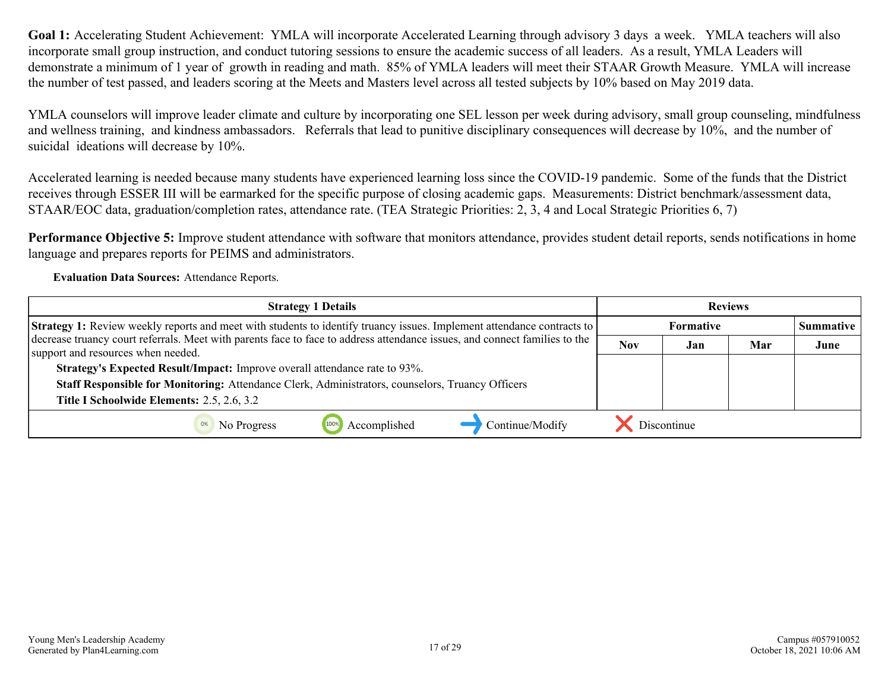YMLA counselors will improve leader climate and culture by incorporating one SEL lesson per week during advisory, small group counseling, mindfulness and wellness training, and kindness ambassadors. Referrals that lead to punitive disciplinary consequences will decrease by 10%, and the number of suicidal ideations will decrease by 10%.

Accelerated learning is needed because many students have experienced learning loss since the COVID-19 pandemic. Some of the funds that the District receives through ESSER III will be earmarked for the specific purpose of closing academic gaps. Measurements: District benchmark/assessment data, STAAR/EOC data, graduation/completion rates, attendance rate. (TEA Strategic Priorities: 2, 3, 4 and Local Strategic Priorities 6, 7)

**Performance Objective 5:** Improve student attendance with software that monitors attendance, provides student detail reports, sends notifications in home language and prepares reports for PEIMS and administrators.

**Evaluation Data Sources:** Attendance Reports.

| <b>Strategy 1 Details</b>                                                                                                                                        | <b>Reviews</b> |                  |     |                  |
|------------------------------------------------------------------------------------------------------------------------------------------------------------------|----------------|------------------|-----|------------------|
| <b>Strategy 1:</b> Review weekly reports and meet with students to identify truancy issues. Implement attendance contracts to                                    |                | <b>Formative</b> |     | <b>Summative</b> |
| decrease truancy court referrals. Meet with parents face to face to address attendance issues, and connect families to the<br>support and resources when needed. | <b>Nov</b>     | Jan              | Mar | June             |
| Strategy's Expected Result/Impact: Improve overall attendance rate to 93%.                                                                                       |                |                  |     |                  |
| Staff Responsible for Monitoring: Attendance Clerk, Administrators, counselors, Truancy Officers                                                                 |                |                  |     |                  |
| Title I Schoolwide Elements: 2.5, 2.6, 3.2                                                                                                                       |                |                  |     |                  |
| Continue/Modify<br>Accomplished<br>No Progress                                                                                                                   |                | Discontinue      |     |                  |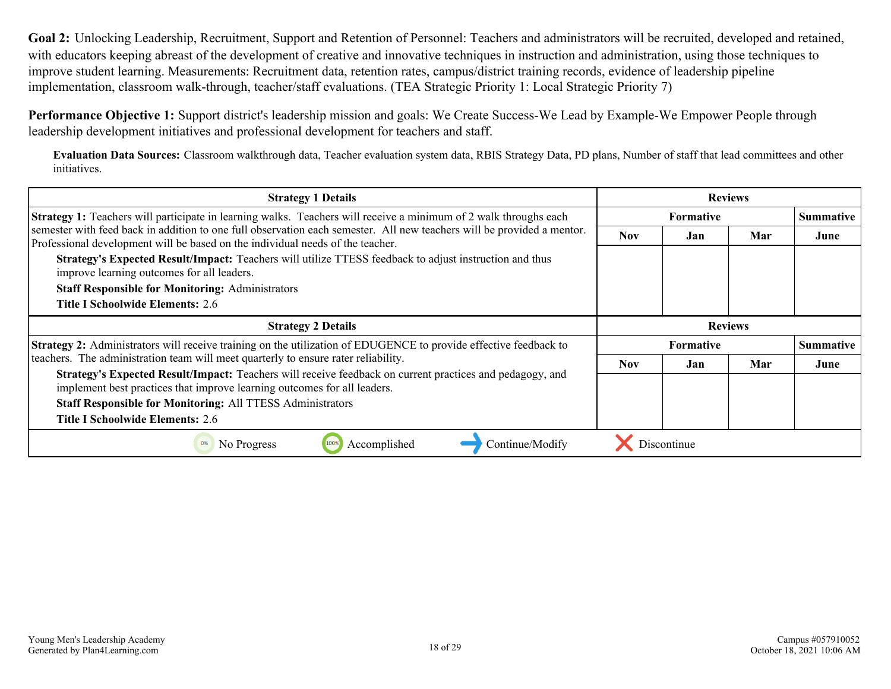<span id="page-17-0"></span>**Goal 2:** Unlocking Leadership, Recruitment, Support and Retention of Personnel: Teachers and administrators will be recruited, developed and retained, with educators keeping abreast of the development of creative and innovative techniques in instruction and administration, using those techniques to improve student learning. Measurements: Recruitment data, retention rates, campus/district training records, evidence of leadership pipeline implementation, classroom walk-through, teacher/staff evaluations. (TEA Strategic Priority 1: Local Strategic Priority 7)

**Performance Objective 1:** Support district's leadership mission and goals: We Create Success-We Lead by Example-We Empower People through leadership development initiatives and professional development for teachers and staff.

**Evaluation Data Sources:** Classroom walkthrough data, Teacher evaluation system data, RBIS Strategy Data, PD plans, Number of staff that lead committees and other initiatives.

| <b>Strategy 1 Details</b>                                                                                                                                                                                | <b>Reviews</b>   |                  |     |                  |  |  |                  |
|----------------------------------------------------------------------------------------------------------------------------------------------------------------------------------------------------------|------------------|------------------|-----|------------------|--|--|------------------|
| Strategy 1: Teachers will participate in learning walks. Teachers will receive a minimum of 2 walk throughs each                                                                                         | <b>Formative</b> |                  |     |                  |  |  | <b>Summative</b> |
| semester with feed back in addition to one full observation each semester. All new teachers will be provided a mentor.<br>Professional development will be based on the individual needs of the teacher. | <b>Nov</b>       | Jan              | Mar | June             |  |  |                  |
| Strategy's Expected Result/Impact: Teachers will utilize TTESS feedback to adjust instruction and thus<br>improve learning outcomes for all leaders.                                                     |                  |                  |     |                  |  |  |                  |
| <b>Staff Responsible for Monitoring: Administrators</b>                                                                                                                                                  |                  |                  |     |                  |  |  |                  |
| <b>Title I Schoolwide Elements: 2.6</b>                                                                                                                                                                  |                  |                  |     |                  |  |  |                  |
| <b>Strategy 2 Details</b>                                                                                                                                                                                | <b>Reviews</b>   |                  |     |                  |  |  |                  |
| Strategy 2: Administrators will receive training on the utilization of EDUGENCE to provide effective feedback to                                                                                         |                  | <b>Formative</b> |     | <b>Summative</b> |  |  |                  |
| teachers. The administration team will meet quarterly to ensure rater reliability.                                                                                                                       | Nov.             | Jan              | Mar | June             |  |  |                  |
| Strategy's Expected Result/Impact: Teachers will receive feedback on current practices and pedagogy, and<br>implement best practices that improve learning outcomes for all leaders.                     |                  |                  |     |                  |  |  |                  |
| <b>Staff Responsible for Monitoring: All TTESS Administrators</b>                                                                                                                                        |                  |                  |     |                  |  |  |                  |
| <b>Title I Schoolwide Elements: 2.6</b>                                                                                                                                                                  |                  |                  |     |                  |  |  |                  |
| Accomplished<br>Continue/Modify<br>No Progress<br>0%<br>100%                                                                                                                                             |                  | Discontinue      |     |                  |  |  |                  |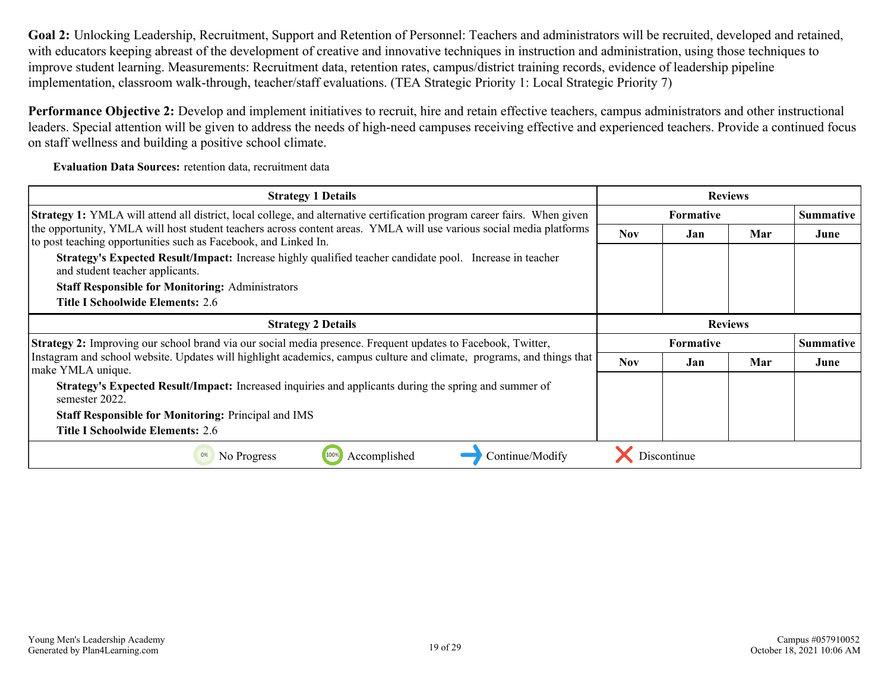**Goal 2:** Unlocking Leadership, Recruitment, Support and Retention of Personnel: Teachers and administrators will be recruited, developed and retained, with educators keeping abreast of the development of creative and innovative techniques in instruction and administration, using those techniques to improve student learning. Measurements: Recruitment data, retention rates, campus/district training records, evidence of leadership pipeline implementation, classroom walk-through, teacher/staff evaluations. (TEA Strategic Priority 1: Local Strategic Priority 7)

**Performance Objective 2:** Develop and implement initiatives to recruit, hire and retain effective teachers, campus administrators and other instructional leaders. Special attention will be given to address the needs of high-need campuses receiving effective and experienced teachers. Provide a continued focus on staff wellness and building a positive school climate.

**Evaluation Data Sources:** retention data, recruitment data

| <b>Strategy 1 Details</b>                                                                                                                                                              | <b>Reviews</b> |                  |                  |                  |
|----------------------------------------------------------------------------------------------------------------------------------------------------------------------------------------|----------------|------------------|------------------|------------------|
| <b>Strategy 1:</b> YMLA will attend all district, local college, and alternative certification program career fairs. When given                                                        |                | Formative        |                  | <b>Summative</b> |
| the opportunity, YMLA will host student teachers across content areas. YMLA will use various social media platforms<br>to post teaching opportunities such as Facebook, and Linked In. | <b>Nov</b>     | Jan              | Mar              | June             |
| Strategy's Expected Result/Impact: Increase highly qualified teacher candidate pool. Increase in teacher<br>and student teacher applicants.                                            |                |                  |                  |                  |
| <b>Staff Responsible for Monitoring: Administrators</b>                                                                                                                                |                |                  |                  |                  |
| Title I Schoolwide Elements: 2.6                                                                                                                                                       |                |                  |                  |                  |
| <b>Strategy 2 Details</b>                                                                                                                                                              |                | <b>Reviews</b>   |                  |                  |
| <b>Strategy 2:</b> Improving our school brand via our social media presence. Frequent updates to Facebook, Twitter,                                                                    |                | <b>Formative</b> | <b>Summative</b> |                  |
| Instagram and school website. Updates will highlight academics, campus culture and climate, programs, and things that<br>make YMLA unique.                                             | <b>Nov</b>     | Jan              | Mar              | June             |
| <b>Strategy's Expected Result/Impact:</b> Increased inquiries and applicants during the spring and summer of<br>semester 2022.                                                         |                |                  |                  |                  |
| <b>Staff Responsible for Monitoring: Principal and IMS</b>                                                                                                                             |                |                  |                  |                  |
| <b>Title I Schoolwide Elements: 2.6</b>                                                                                                                                                |                |                  |                  |                  |
| Accomplished<br>Continue/Modify<br>No Progress<br>100%<br>0%                                                                                                                           |                | Discontinue      |                  |                  |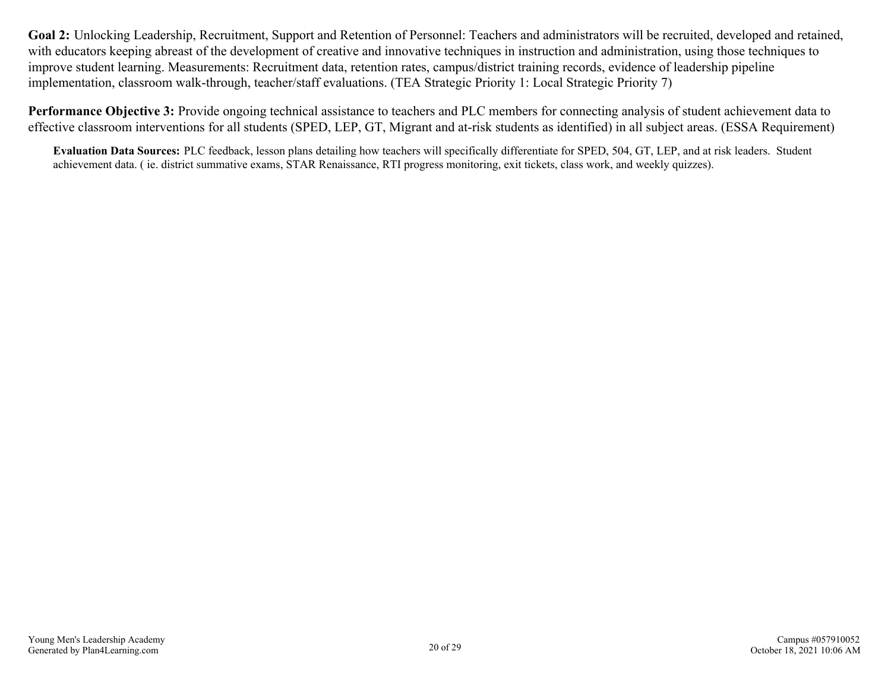**Goal 2:** Unlocking Leadership, Recruitment, Support and Retention of Personnel: Teachers and administrators will be recruited, developed and retained, with educators keeping abreast of the development of creative and innovative techniques in instruction and administration, using those techniques to improve student learning. Measurements: Recruitment data, retention rates, campus/district training records, evidence of leadership pipeline implementation, classroom walk-through, teacher/staff evaluations. (TEA Strategic Priority 1: Local Strategic Priority 7)

**Performance Objective 3:** Provide ongoing technical assistance to teachers and PLC members for connecting analysis of student achievement data to effective classroom interventions for all students (SPED, LEP, GT, Migrant and at-risk students as identified) in all subject areas. (ESSA Requirement)

**Evaluation Data Sources:** PLC feedback, lesson plans detailing how teachers will specifically differentiate for SPED, 504, GT, LEP, and at risk leaders. Student achievement data. ( ie. district summative exams, STAR Renaissance, RTI progress monitoring, exit tickets, class work, and weekly quizzes).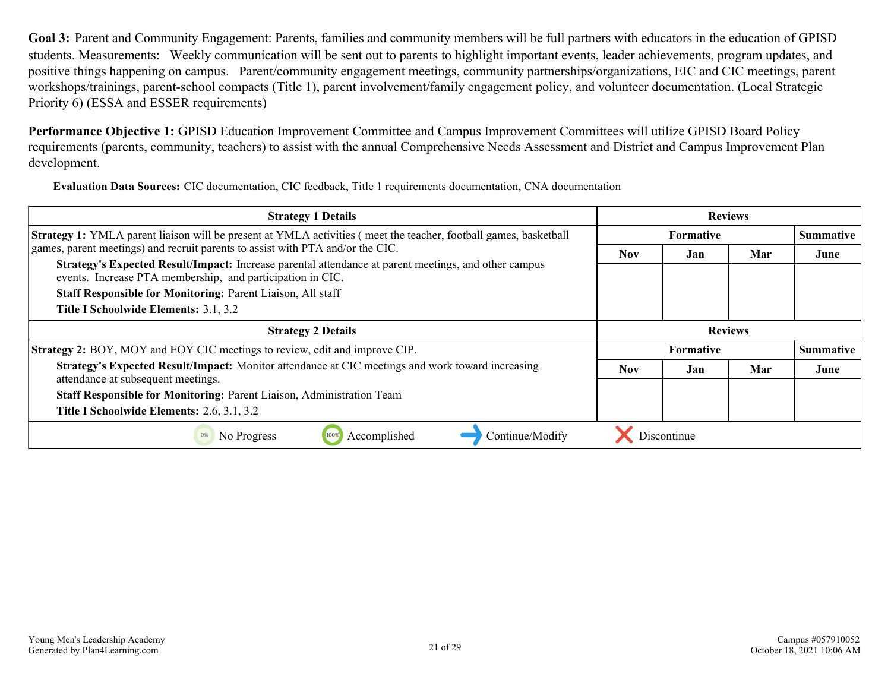<span id="page-20-0"></span>**Goal 3:** Parent and Community Engagement: Parents, families and community members will be full partners with educators in the education of GPISD students. Measurements: Weekly communication will be sent out to parents to highlight important events, leader achievements, program updates, and positive things happening on campus. Parent/community engagement meetings, community partnerships/organizations, EIC and CIC meetings, parent workshops/trainings, parent-school compacts (Title 1), parent involvement/family engagement policy, and volunteer documentation. (Local Strategic Priority 6) (ESSA and ESSER requirements)

**Performance Objective 1:** GPISD Education Improvement Committee and Campus Improvement Committees will utilize GPISD Board Policy requirements (parents, community, teachers) to assist with the annual Comprehensive Needs Assessment and District and Campus Improvement Plan development.

**Evaluation Data Sources:** CIC documentation, CIC feedback, Title 1 requirements documentation, CNA documentation

| <b>Strategy 1 Details</b>                                                                                                                                          | <b>Reviews</b> |                  |     |                  |
|--------------------------------------------------------------------------------------------------------------------------------------------------------------------|----------------|------------------|-----|------------------|
| <b>Strategy 1:</b> YMLA parent liaison will be present at YMLA activities (meet the teacher, football games, basketball                                            |                | <b>Formative</b> |     | <b>Summative</b> |
| games, parent meetings) and recruit parents to assist with PTA and/or the CIC.                                                                                     | <b>Nov</b>     | Jan              | Mar | June             |
| Strategy's Expected Result/Impact: Increase parental attendance at parent meetings, and other campus<br>events. Increase PTA membership, and participation in CIC. |                |                  |     |                  |
| Staff Responsible for Monitoring: Parent Liaison, All staff                                                                                                        |                |                  |     |                  |
| Title I Schoolwide Elements: 3.1, 3.2                                                                                                                              |                |                  |     |                  |
| <b>Strategy 2 Details</b>                                                                                                                                          | <b>Reviews</b> |                  |     |                  |
| <b>Strategy 2: BOY, MOY and EOY CIC meetings to review, edit and improve CIP.</b>                                                                                  |                | <b>Formative</b> |     | Summative        |
| Strategy's Expected Result/Impact: Monitor attendance at CIC meetings and work toward increasing<br>attendance at subsequent meetings.                             | Nov.           | Jan              | Mar | June             |
| Staff Responsible for Monitoring: Parent Liaison, Administration Team                                                                                              |                |                  |     |                  |
| Title I Schoolwide Elements: 2.6, 3.1, 3.2                                                                                                                         |                |                  |     |                  |
| Accomplished<br>Continue/Modify<br>No Progress<br>0%<br>100%                                                                                                       |                | Discontinue      |     |                  |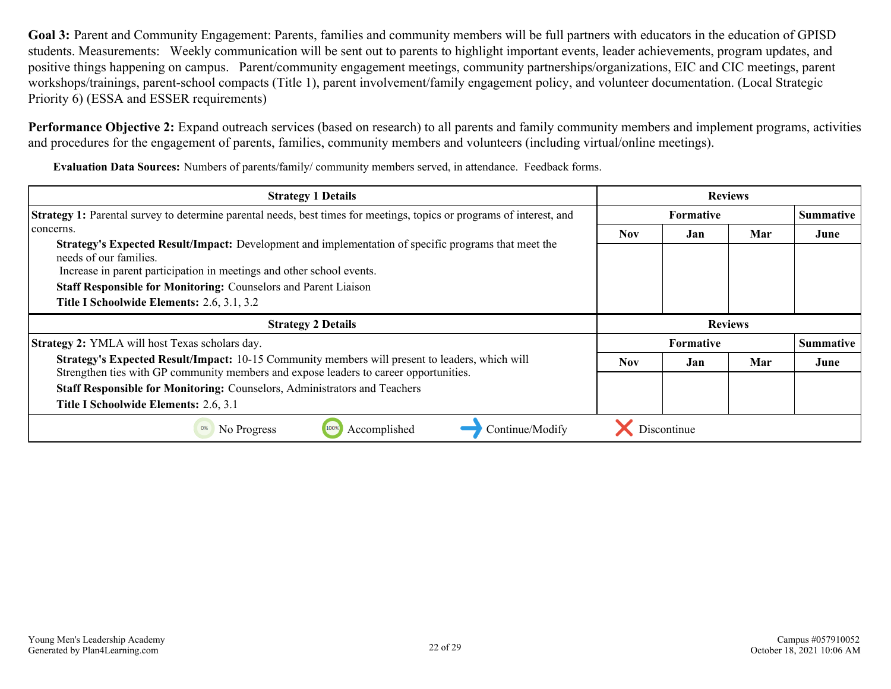**Goal 3:** Parent and Community Engagement: Parents, families and community members will be full partners with educators in the education of GPISD students. Measurements: Weekly communication will be sent out to parents to highlight important events, leader achievements, program updates, and positive things happening on campus. Parent/community engagement meetings, community partnerships/organizations, EIC and CIC meetings, parent workshops/trainings, parent-school compacts (Title 1), parent involvement/family engagement policy, and volunteer documentation. (Local Strategic Priority 6) (ESSA and ESSER requirements)

**Performance Objective 2:** Expand outreach services (based on research) to all parents and family community members and implement programs, activities and procedures for the engagement of parents, families, community members and volunteers (including virtual/online meetings).

**Evaluation Data Sources:** Numbers of parents/family/ community members served, in attendance. Feedback forms.

| <b>Strategy 1 Details</b>                                                                                                                                                                                      | <b>Reviews</b>   |                  |     |                  |
|----------------------------------------------------------------------------------------------------------------------------------------------------------------------------------------------------------------|------------------|------------------|-----|------------------|
| <b>Strategy 1:</b> Parental survey to determine parental needs, best times for meetings, topics or programs of interest, and                                                                                   | <b>Formative</b> |                  |     | <b>Summative</b> |
| concerns.                                                                                                                                                                                                      | Nov              | Jan              | Mar | June             |
| <b>Strategy's Expected Result/Impact:</b> Development and implementation of specific programs that meet the<br>needs of our families.<br>Increase in parent participation in meetings and other school events. |                  |                  |     |                  |
| <b>Staff Responsible for Monitoring: Counselors and Parent Liaison</b>                                                                                                                                         |                  |                  |     |                  |
| Title I Schoolwide Elements: 2.6, 3.1, 3.2                                                                                                                                                                     |                  |                  |     |                  |
|                                                                                                                                                                                                                | <b>Reviews</b>   |                  |     |                  |
| <b>Strategy 2 Details</b>                                                                                                                                                                                      |                  |                  |     |                  |
| Strategy 2: YMLA will host Texas scholars day.                                                                                                                                                                 |                  | <b>Formative</b> |     | <b>Summative</b> |
| <b>Strategy's Expected Result/Impact:</b> 10-15 Community members will present to leaders, which will                                                                                                          | <b>Nov</b>       | Jan              | Mar | June             |
| Strengthen ties with GP community members and expose leaders to career opportunities.<br>Staff Responsible for Monitoring: Counselors, Administrators and Teachers                                             |                  |                  |     |                  |
| Title I Schoolwide Elements: 2.6, 3.1                                                                                                                                                                          |                  |                  |     |                  |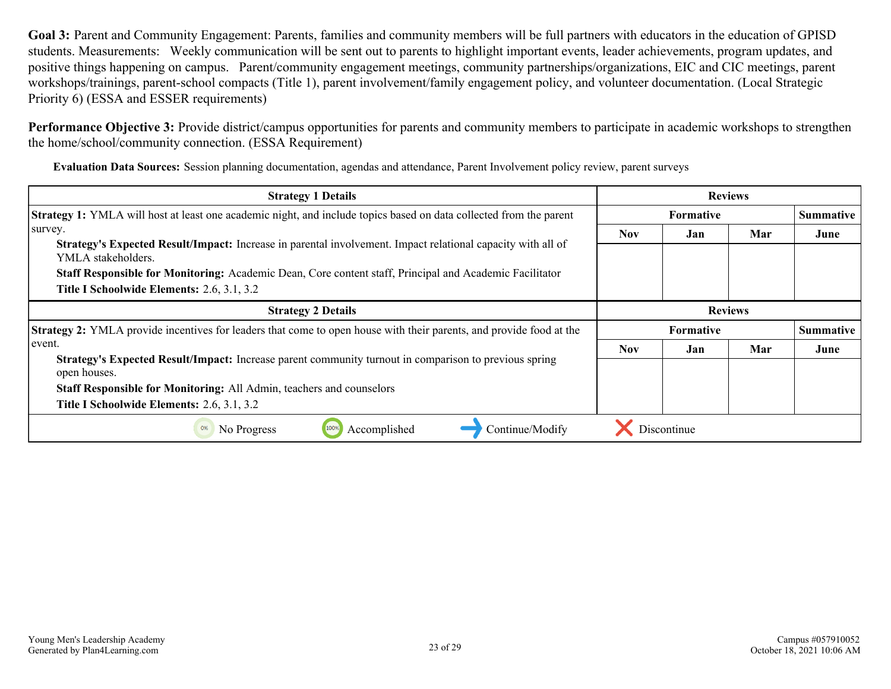**Goal 3:** Parent and Community Engagement: Parents, families and community members will be full partners with educators in the education of GPISD students. Measurements: Weekly communication will be sent out to parents to highlight important events, leader achievements, program updates, and positive things happening on campus. Parent/community engagement meetings, community partnerships/organizations, EIC and CIC meetings, parent workshops/trainings, parent-school compacts (Title 1), parent involvement/family engagement policy, and volunteer documentation. (Local Strategic Priority 6) (ESSA and ESSER requirements)

**Performance Objective 3:** Provide district/campus opportunities for parents and community members to participate in academic workshops to strengthen the home/school/community connection. (ESSA Requirement)

**Evaluation Data Sources:** Session planning documentation, agendas and attendance, Parent Involvement policy review, parent surveys

| <b>Strategy 1 Details</b>                                                                                                                                                                                                                                                                                           | <b>Reviews</b>   |                  |     |                  |
|---------------------------------------------------------------------------------------------------------------------------------------------------------------------------------------------------------------------------------------------------------------------------------------------------------------------|------------------|------------------|-----|------------------|
| <b>Strategy 1:</b> YMLA will host at least one academic night, and include topics based on data collected from the parent                                                                                                                                                                                           | <b>Formative</b> |                  |     | <b>Summative</b> |
| survey.<br><b>Strategy's Expected Result/Impact:</b> Increase in parental involvement. Impact relational capacity with all of<br>YMLA stakeholders.<br><b>Staff Responsible for Monitoring:</b> Academic Dean, Core content staff, Principal and Academic Facilitator<br>Title I Schoolwide Elements: 2.6, 3.1, 3.2 | <b>Nov</b>       | Jan              | Mar | June             |
| <b>Strategy 2 Details</b>                                                                                                                                                                                                                                                                                           | <b>Reviews</b>   |                  |     |                  |
| <b>Strategy 2:</b> YMLA provide incentives for leaders that come to open house with their parents, and provide food at the                                                                                                                                                                                          |                  | <b>Formative</b> |     | <b>Summative</b> |
| event.<br>Strategy's Expected Result/Impact: Increase parent community turnout in comparison to previous spring<br>open houses.<br><b>Staff Responsible for Monitoring:</b> All Admin, teachers and counselors<br>Title I Schoolwide Elements: 2.6, 3.1, 3.2                                                        | <b>Nov</b>       | Jan              | Mar | June             |
| Accomplished<br>Continue/Modify<br>0%<br>No Progress                                                                                                                                                                                                                                                                |                  | Discontinue      |     |                  |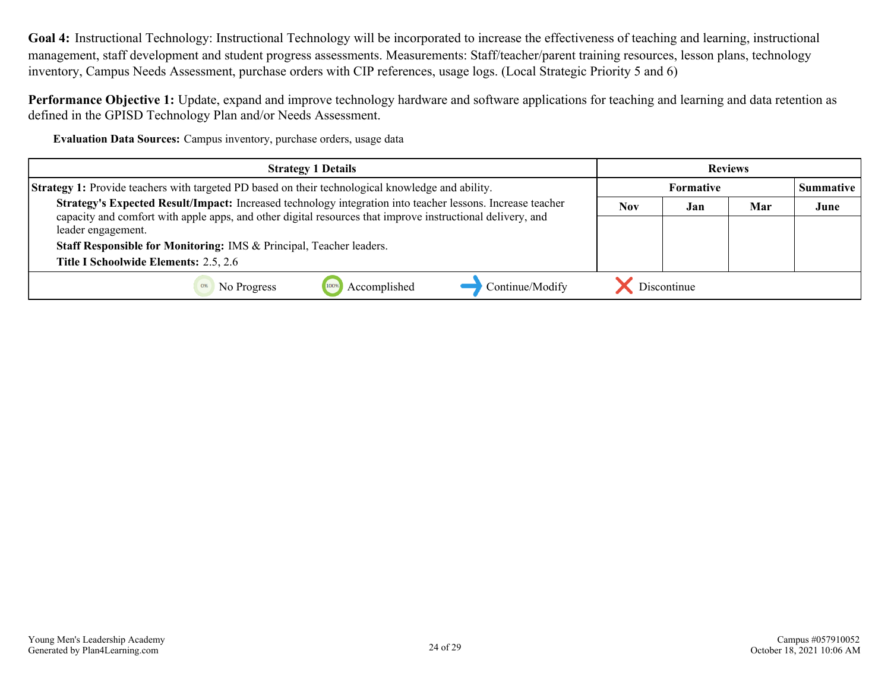<span id="page-23-0"></span>**Goal 4:** Instructional Technology: Instructional Technology will be incorporated to increase the effectiveness of teaching and learning, instructional management, staff development and student progress assessments. Measurements: Staff/teacher/parent training resources, lesson plans, technology inventory, Campus Needs Assessment, purchase orders with CIP references, usage logs. (Local Strategic Priority 5 and 6)

**Performance Objective 1:** Update, expand and improve technology hardware and software applications for teaching and learning and data retention as defined in the GPISD Technology Plan and/or Needs Assessment.

**Evaluation Data Sources:** Campus inventory, purchase orders, usage data

| <b>Strategy 1 Details</b>                                                                                                                                                                                                | <b>Reviews</b>   |             |     |                  |
|--------------------------------------------------------------------------------------------------------------------------------------------------------------------------------------------------------------------------|------------------|-------------|-----|------------------|
| <b>Strategy 1:</b> Provide teachers with targeted PD based on their technological knowledge and ability.                                                                                                                 | <b>Formative</b> |             |     | <b>Summative</b> |
| Strategy's Expected Result/Impact: Increased technology integration into teacher lessons. Increase teacher<br>capacity and comfort with apple apps, and other digital resources that improve instructional delivery, and | <b>Nov</b>       | Jan         | Mar | June             |
| leader engagement.                                                                                                                                                                                                       |                  |             |     |                  |
| Staff Responsible for Monitoring: IMS & Principal, Teacher leaders.                                                                                                                                                      |                  |             |     |                  |
| Title I Schoolwide Elements: 2.5, 2.6                                                                                                                                                                                    |                  |             |     |                  |
| Continue/Modify<br>Accomplished<br>No Progress                                                                                                                                                                           |                  | Discontinue |     |                  |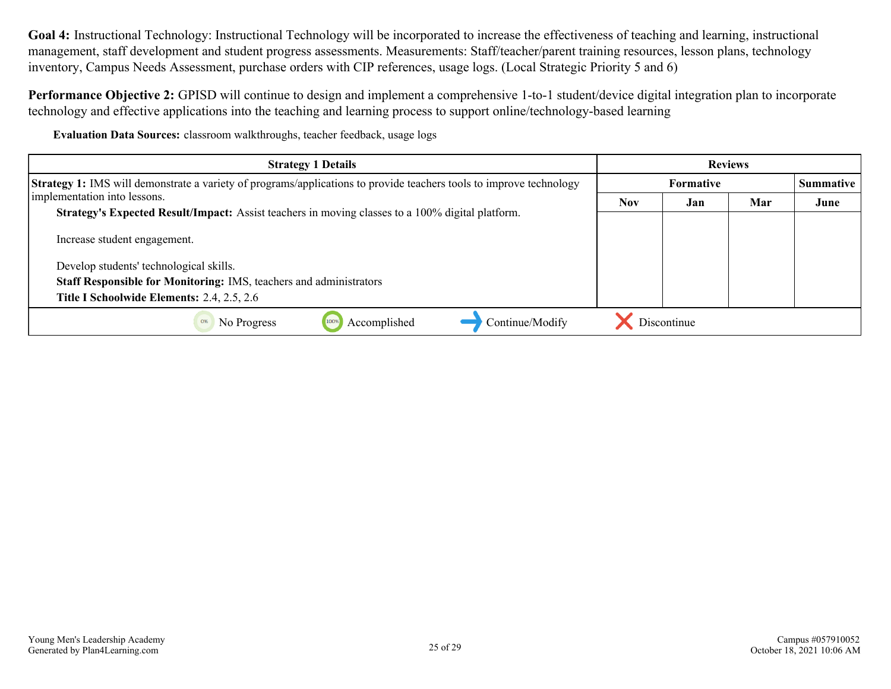**Goal 4:** Instructional Technology: Instructional Technology will be incorporated to increase the effectiveness of teaching and learning, instructional management, staff development and student progress assessments. Measurements: Staff/teacher/parent training resources, lesson plans, technology inventory, Campus Needs Assessment, purchase orders with CIP references, usage logs. (Local Strategic Priority 5 and 6)

**Performance Objective 2:** GPISD will continue to design and implement a comprehensive 1-to-1 student/device digital integration plan to incorporate technology and effective applications into the teaching and learning process to support online/technology-based learning

**Evaluation Data Sources:** classroom walkthroughs, teacher feedback, usage logs

| <b>Strategy 1 Details</b>                                                                                                  | <b>Reviews</b>   |             |     |                  |
|----------------------------------------------------------------------------------------------------------------------------|------------------|-------------|-----|------------------|
| <b>Strategy 1:</b> IMS will demonstrate a variety of programs/applications to provide teachers tools to improve technology | <b>Formative</b> |             |     | <b>Summative</b> |
| implementation into lessons.                                                                                               | <b>Nov</b>       | Jan         | Mar | June             |
| <b>Strategy's Expected Result/Impact:</b> Assist teachers in moving classes to a 100% digital platform.                    |                  |             |     |                  |
| Increase student engagement.                                                                                               |                  |             |     |                  |
| Develop students' technological skills.                                                                                    |                  |             |     |                  |
| <b>Staff Responsible for Monitoring: IMS, teachers and administrators</b>                                                  |                  |             |     |                  |
| Title I Schoolwide Elements: 2.4, 2.5, 2.6                                                                                 |                  |             |     |                  |
| Accomplished<br>Continue/Modify<br>No Progress<br>0%                                                                       |                  | Discontinue |     |                  |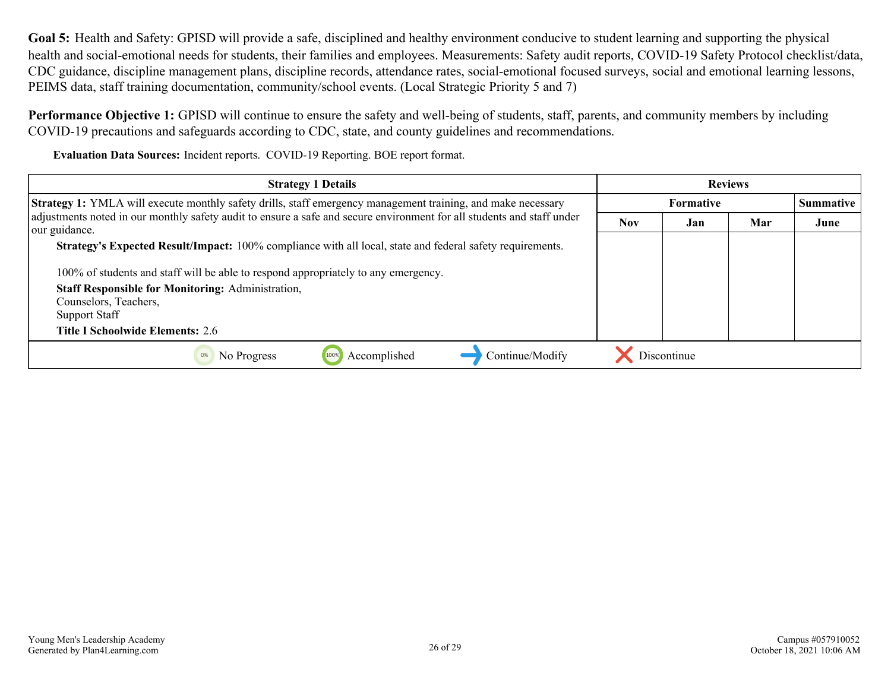<span id="page-25-0"></span>**Goal 5:** Health and Safety: GPISD will provide a safe, disciplined and healthy environment conducive to student learning and supporting the physical health and social-emotional needs for students, their families and employees. Measurements: Safety audit reports, COVID-19 Safety Protocol checklist/data, CDC guidance, discipline management plans, discipline records, attendance rates, social-emotional focused surveys, social and emotional learning lessons, PEIMS data, staff training documentation, community/school events. (Local Strategic Priority 5 and 7)

**Performance Objective 1:** GPISD will continue to ensure the safety and well-being of students, staff, parents, and community members by including COVID-19 precautions and safeguards according to CDC, state, and county guidelines and recommendations.

**Evaluation Data Sources:** Incident reports. COVID-19 Reporting. BOE report format.

| <b>Strategy 1 Details</b>                                                                                                                                                                                                                                      | <b>Reviews</b>   |             |     |           |
|----------------------------------------------------------------------------------------------------------------------------------------------------------------------------------------------------------------------------------------------------------------|------------------|-------------|-----|-----------|
| <b>Strategy 1:</b> YMLA will execute monthly safety drills, staff emergency management training, and make necessary<br>adjustments noted in our monthly safety audit to ensure a safe and secure environment for all students and staff under<br>our guidance. | <b>Formative</b> |             |     | Summative |
|                                                                                                                                                                                                                                                                | <b>Nov</b>       | Jan         | Mar | June      |
| Strategy's Expected Result/Impact: 100% compliance with all local, state and federal safety requirements.                                                                                                                                                      |                  |             |     |           |
| 100% of students and staff will be able to respond appropriately to any emergency.                                                                                                                                                                             |                  |             |     |           |
| <b>Staff Responsible for Monitoring: Administration,</b>                                                                                                                                                                                                       |                  |             |     |           |
| Counselors, Teachers,                                                                                                                                                                                                                                          |                  |             |     |           |
| <b>Support Staff</b>                                                                                                                                                                                                                                           |                  |             |     |           |
| <b>Title I Schoolwide Elements: 2.6</b>                                                                                                                                                                                                                        |                  |             |     |           |
| Accomplished<br>Continue/Modify<br>0%<br>No Progress                                                                                                                                                                                                           |                  | Discontinue |     |           |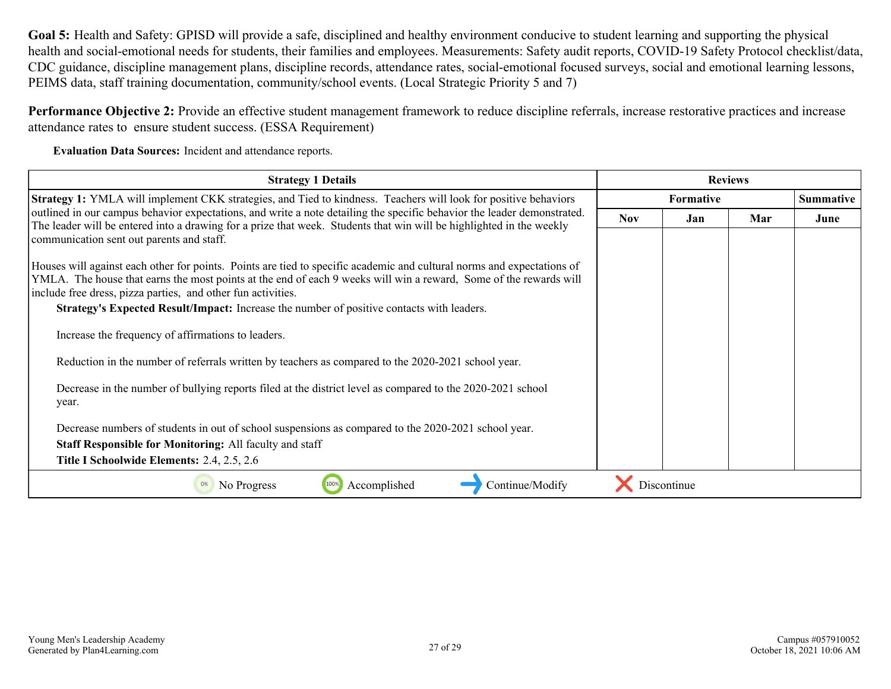**Goal 5:** Health and Safety: GPISD will provide a safe, disciplined and healthy environment conducive to student learning and supporting the physical health and social-emotional needs for students, their families and employees. Measurements: Safety audit reports, COVID-19 Safety Protocol checklist/data, CDC guidance, discipline management plans, discipline records, attendance rates, social-emotional focused surveys, social and emotional learning lessons, PEIMS data, staff training documentation, community/school events. (Local Strategic Priority 5 and 7)

**Performance Objective 2:** Provide an effective student management framework to reduce discipline referrals, increase restorative practices and increase attendance rates to ensure student success. (ESSA Requirement)

**Evaluation Data Sources:** Incident and attendance reports.

| <b>Strategy 1 Details</b>                                                                                                                                                                                                                                                                                                                                                                                       | <b>Reviews</b>   |             |     |                  |
|-----------------------------------------------------------------------------------------------------------------------------------------------------------------------------------------------------------------------------------------------------------------------------------------------------------------------------------------------------------------------------------------------------------------|------------------|-------------|-----|------------------|
| Strategy 1: YMLA will implement CKK strategies, and Tied to kindness. Teachers will look for positive behaviors<br>outlined in our campus behavior expectations, and write a note detailing the specific behavior the leader demonstrated.<br>The leader will be entered into a drawing for a prize that week. Students that win will be highlighted in the weekly<br>communication sent out parents and staff. | <b>Formative</b> |             |     | <b>Summative</b> |
|                                                                                                                                                                                                                                                                                                                                                                                                                 | <b>Nov</b>       | Jan         | Mar | June             |
|                                                                                                                                                                                                                                                                                                                                                                                                                 |                  |             |     |                  |
| Houses will against each other for points. Points are tied to specific academic and cultural norms and expectations of<br>YMLA. The house that earns the most points at the end of each 9 weeks will win a reward, Some of the rewards will                                                                                                                                                                     |                  |             |     |                  |
| include free dress, pizza parties, and other fun activities.                                                                                                                                                                                                                                                                                                                                                    |                  |             |     |                  |
| Strategy's Expected Result/Impact: Increase the number of positive contacts with leaders.                                                                                                                                                                                                                                                                                                                       |                  |             |     |                  |
| Increase the frequency of affirmations to leaders.                                                                                                                                                                                                                                                                                                                                                              |                  |             |     |                  |
| Reduction in the number of referrals written by teachers as compared to the 2020-2021 school year.                                                                                                                                                                                                                                                                                                              |                  |             |     |                  |
| Decrease in the number of bullying reports filed at the district level as compared to the 2020-2021 school<br>year.                                                                                                                                                                                                                                                                                             |                  |             |     |                  |
|                                                                                                                                                                                                                                                                                                                                                                                                                 |                  |             |     |                  |
| Decrease numbers of students in out of school suspensions as compared to the 2020-2021 school year.                                                                                                                                                                                                                                                                                                             |                  |             |     |                  |
| <b>Staff Responsible for Monitoring: All faculty and staff</b>                                                                                                                                                                                                                                                                                                                                                  |                  |             |     |                  |
| Title I Schoolwide Elements: 2.4, 2.5, 2.6                                                                                                                                                                                                                                                                                                                                                                      |                  |             |     |                  |
| Accomplished<br>Continue/Modify<br>No Progress<br>0%                                                                                                                                                                                                                                                                                                                                                            |                  | Discontinue |     |                  |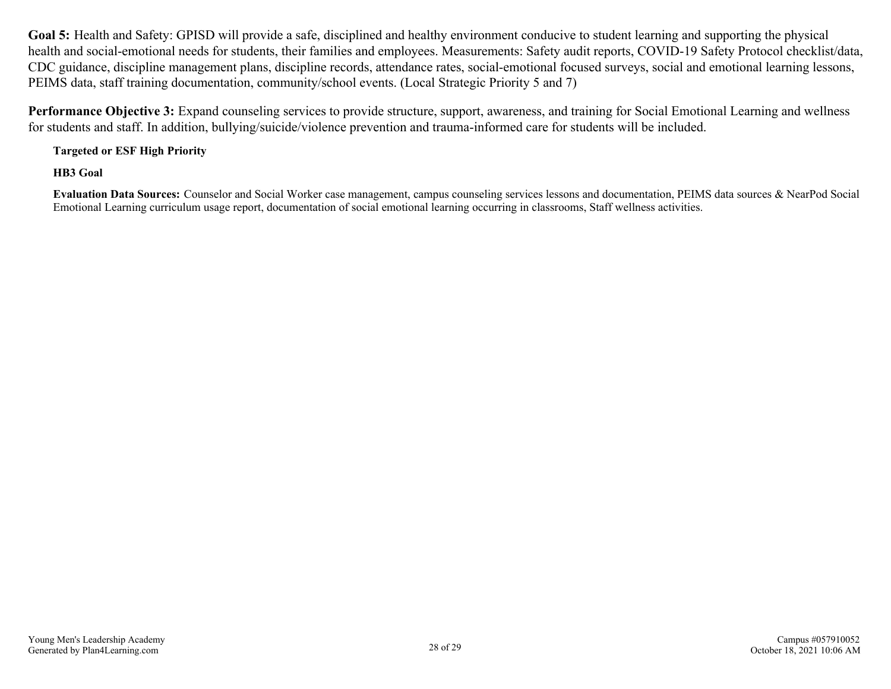**Goal 5:** Health and Safety: GPISD will provide a safe, disciplined and healthy environment conducive to student learning and supporting the physical health and social-emotional needs for students, their families and employees. Measurements: Safety audit reports, COVID-19 Safety Protocol checklist/data, CDC guidance, discipline management plans, discipline records, attendance rates, social-emotional focused surveys, social and emotional learning lessons, PEIMS data, staff training documentation, community/school events. (Local Strategic Priority 5 and 7)

**Performance Objective 3:** Expand counseling services to provide structure, support, awareness, and training for Social Emotional Learning and wellness for students and staff. In addition, bullying/suicide/violence prevention and trauma-informed care for students will be included.

**Targeted or ESF High Priority**

**HB3 Goal**

**Evaluation Data Sources:** Counselor and Social Worker case management, campus counseling services lessons and documentation, PEIMS data sources & NearPod Social Emotional Learning curriculum usage report, documentation of social emotional learning occurring in classrooms, Staff wellness activities.